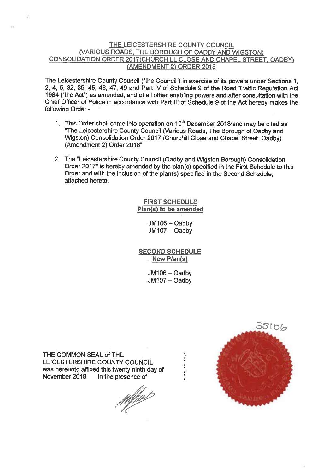#### THE LEICESTERSHIRE COUNTY COUNCIL (VARIOUS ROADS, THE BOROUGH OF OADBY AND WIGSTON) CONSOLIDATION ORDER 2017 (CHURCHILL CLOSE AND CHAPEL STREET, OADBY) (AMENDMENT 2) ORDER 2018

The Leicestershire County Council ("the Council") in exercise of its powers under Sections 1. 2, 4, 5, 32, 35, 45, 46, 47, 49 and Part IV of Schedule 9 of the Road Traffic Regulation Act 1984 ("the Act") as amended, and of all other enabling powers and after consultation with the Chief Officer of Police in accordance with Part III of Schedule 9 of the Act hereby makes the following Order:-

- 1. This Order shall come into operation on 10<sup>th</sup> December 2018 and may be cited as "The Leicestershire County Council (Various Roads, The Borough of Oadby and Wigston) Consolidation Order 2017 (Churchill Close and Chapel Street, Oadby) (Amendment 2) Order 2018"
- 2. The "Leicestershire County Council (Oadby and Wigston Borough) Consolidation Order 2017" is hereby amended by the plan(s) specified in the First Schedule to this Order and with the inclusion of the plan(s) specified in the Second Schedule. attached hereto.

**FIRST SCHEDULE** Plan(s) to be amended

> $JM106 - Oadby$  $JM107 - Oadby$

**SECOND SCHEDULE New Plan(s)** 

> $JM106 - Oadby$ JM107 - Oadby

THE COMMON SEAL of THE LEICESTERSHIRE COUNTY COUNCIL was hereunto affixed this twenty ninth day of November 2018 in the presence of

Melhert

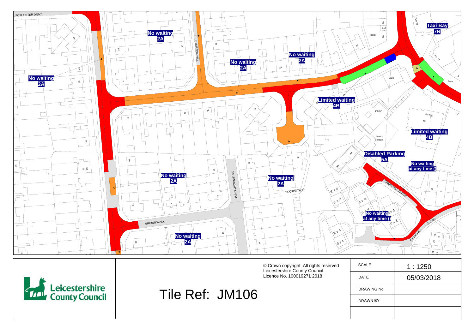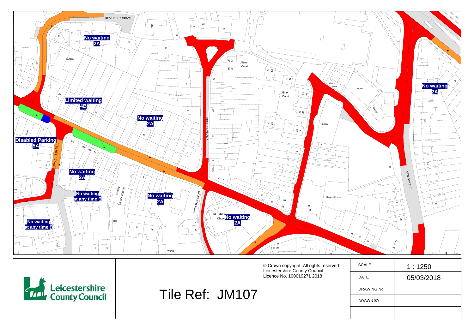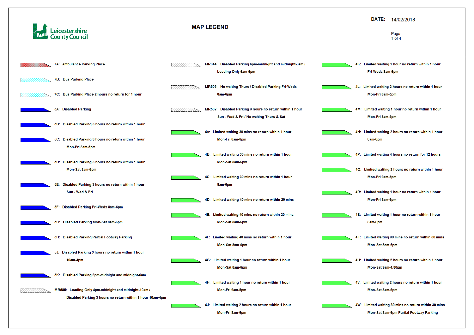



#### DATE: 14/02/2018

#### Page  $1$  of  $4$

- 4K: Limited waiting 1 hour no return within 1 hour Fri-Weds 8am-6pm
- 4L: Limited waiting 2 hours no return within 1 hour Mon-Fri 8am-5pm
- 4M: Limited waiting 1 hour no return within 1 hour Mon-Fri 8am-5pm
- 4N: Limited waiting 2 hours no return within 1 hour 8am-6pm
- 4P: Limited waiting 4 hours no return for 12 hours
- 4Q: Limited waiting 2 hours no return within 1 hour Mon-Fri 9am-5pm
- 4R: Limited waiting 1 hour no return within 1 hour Mon-Fri 8am-6pm
- 4S: Limited waiting 1 hour no return within 1 hour 8am-6pm
- 4T: Limited waiting 30 mins no return within 30 mins Mon-Sat 8am-6pm
- 4U: Limited waiting 2 hours no return within 1 hour Mon-Sat 9am-4.30pm
- 4V: Limited waiting 2 hours no return within 1 hour Mon-Sat 8am-6pm
- 4W: Limited waiting 30 mins no return within 30 mins Mon-Sat 8am-6pm Partial Footway Parking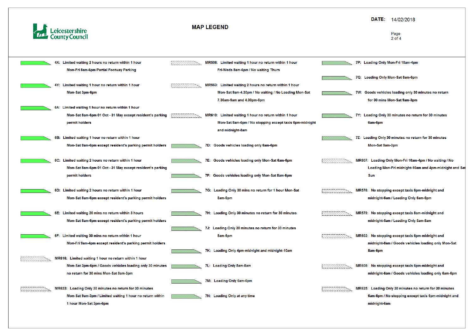![](_page_4_Picture_0.jpeg)

|  | 4X: Limited waiting 2 hours no return within 1 hour       |  | MR506: Limited waiting 1 hour no return within 1 hour   |  |
|--|-----------------------------------------------------------|--|---------------------------------------------------------|--|
|  | Mon-Fri 8am-6pm Partial Footway Parking                   |  | Fri-Weds 8am-6pm / No waiting Thurs                     |  |
|  |                                                           |  |                                                         |  |
|  | 4Y: Limited waiting 1 hour no return within 1 hour        |  | MR563: Limited waiting 2 hours no return within 1 hour  |  |
|  | Mon-Sat 3pm-6pm                                           |  | Mon-Sat 9am-4.30pm / No waiting / No Loading Mon-Sat    |  |
|  |                                                           |  | 7.30am-9am and 4.30pm-6pm                               |  |
|  | 6A: Limited waiting 1 hour no return within 1 hour        |  |                                                         |  |
|  | Mon-Sat 8am-6pm 01 Oct - 31 May except resident's parking |  | MR610: Limited waiting 1 hour no return within 1 hour   |  |
|  | permit holders                                            |  | Mon-Sat 8am-6pm / No stopping except taxis 6pm-midnight |  |
|  |                                                           |  | and midnight-8am                                        |  |
|  | 6B: Limited waiting 1 hour no return within 1 hour        |  |                                                         |  |
|  | Mon-Sat 8am-6pm except resident's parking permit holders  |  | 7D: Goods vehicles loading only 6am-6pm                 |  |
|  |                                                           |  |                                                         |  |
|  | 6C: Limited waiting 2 hours no return within 1 hour       |  | 7E: Goods vehicles loading only Mon-Sat 6am-6pm         |  |
|  | Mon-Sat 8am-6pm 01 Oct - 31 May except resident's parking |  |                                                         |  |
|  | permit holders                                            |  | 7F: Goods vehicles loading only Mon-Sat 8am-6pm         |  |
|  |                                                           |  |                                                         |  |
|  | 6D: Limited waiting 2 hours no return within 1 hour       |  | 7G: Loading Only 30 mins no return for 1 hour Mon-Sat   |  |
|  | Mon-Sat 8am-6pm except resident's parking permit holders  |  | 8am-6pm                                                 |  |
|  |                                                           |  |                                                         |  |
|  | 6E: Limited waiting 20 mins no return within 3 hours      |  | 7H: Loading Only 30 minutes no return for 30 minutes    |  |
|  | Mon-Sat 8am-6pm except resident's parking permit holders  |  |                                                         |  |
|  |                                                           |  | 7J: Loading Only 30 minutes no return for 30 minutes    |  |
|  | 6F: Limited waiting 30 mins no return within 1 hour       |  | 8am-6pm                                                 |  |
|  | Mon-Fri 9am-4pm except resident's parking permit holders  |  |                                                         |  |
|  |                                                           |  | 7K: Loading Only 4pm-midnight and midnight-10am         |  |
|  | MR616: Limited waiting 1 hour no return within 1 hour     |  |                                                         |  |
|  | Mon-Sat 3pm-6pm / Goods vehicles loading only 30 minutes  |  | 7L: Loading Only 5am-8am                                |  |
|  | no return for 30 mins Mon-Sat 9am-3pm                     |  |                                                         |  |
|  |                                                           |  | 7M: Loading Only 6am-6pm                                |  |
|  | MR623: Loading Only 30 minutes no return for 30 minutes   |  |                                                         |  |
|  | Mon-Sat 9am-3pm / Limited waiting 1 hour no return within |  | 7N: Loading Only at any time                            |  |
|  | 1 hour Mon-Sat 3pm-6pm                                    |  |                                                         |  |

## DATE: 14/02/2018

#### Page  $2$  of  $4$

- 7P: Loading Only Mon-Fri 10am-4pm
- 7Q: Loading Only Mon-Sat 8am-6pm
- 7W: Goods vehicles loading only 30 minutes no return for 30 mins Mon-Sat 9am-3pm
- 7Y: Loading Only 30 minutes no return for 30 minutes 6am-6pm
- 7Z: Loading Only 30 minutes no return for 30 minutes Mon-Sat 9am-3pm
- MR607: Loading Only Mon-Fri 10am-4pm / No waiting / No Loading Mon-Fri midnight-10am and 4pm-midnight and Sat Sun
- MR576: No stopping except taxis 6pm-midnight and midnight-6am / Loading Only 6am-6pm
- MR579: No stopping except taxis 8am-midnight and midnight-5am / Loading Only 5am-8am
- MR602: No stopping except taxis 6pm-midnight and midnight-8am / Goods vehicles loading only Mon-Sat 8am-6pm
- MR608: No stopping except taxis 6pm-midnight and midnight-6am / Goods vehicles loading only 6am-6pm
- MR625: Loading Only 30 minutes no return for 30 minutes 6am-6pm / No stopping except taxis 6pm-midnight and midnight-6am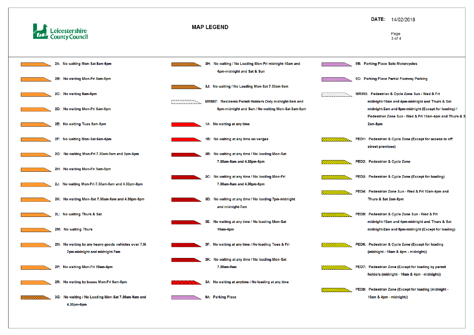![](_page_5_Picture_0.jpeg)

![](_page_5_Figure_2.jpeg)

#### DATE: 14/02/2018

Page 3 of 4

- 9B: Parking Place Solo Motorcycles
- 9C: Parking Place Partial Footway Parking
- MR593: Pedestrian & Cycle Zone Sun Wed & Fri midnight-10am and 4pm-midnight and Thurs & Sat midnight-2am and 8pm-midnight (Except for loading) / Pedestrian Zone Sun - Wed & Fri 10am-4pm and Thurs & S 2am-8pm
- PED1: Pedestrian & Cycle Zone (Except for access to off street premises)
- PED2: Pedestrian & Cycle Zone
- PED3: Pedestrian & Cycle Zone (Except for loading)
- PED4: Pedestrian Zone Sun Wed & Fri 10am-4pm and Thurs & Sat 2am-8pm
- PED5: Pedestrian & Cycle Zone Sun Wed & Fri midnight-10am and 4pm-midnight and Thurs & Sat midnight-2am and 8pm-midnight (Except for loading)
- PED6: Pedestrian & Cycle Zone (Except for loading (midnight - 10am & 4pm - midnight))
- PED7: Pedestrian Zone (Except for loading by permit holders (midnight - 10am & 4pm - midnight))
- PED8: Pedestrian Zone (Except for loading (midnight -10am & 4pm - midnight))